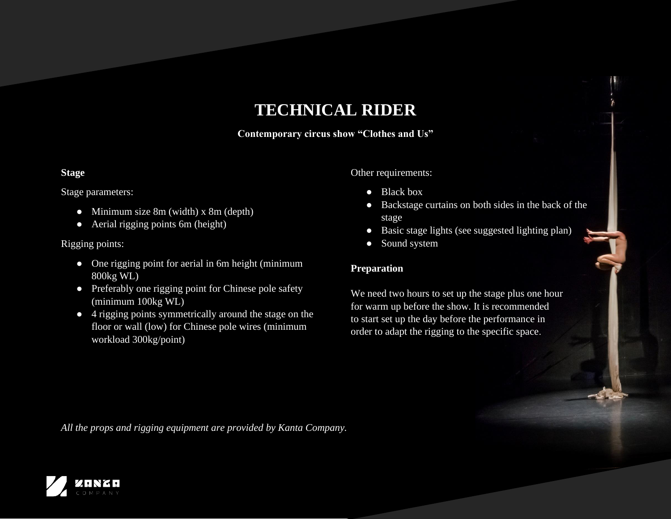# **TECHNICAL RIDER**

**Contemporary circus show "Clothes and Us"**

## **Stage**

#### Stage parameters:

- Minimum size 8m (width) x 8m (depth)
- Aerial rigging points 6m (height)

### Rigging points:

- One rigging point for aerial in 6m height (minimum 800kg WL)
- Preferably one rigging point for Chinese pole safety (minimum 100kg WL)
- 4 rigging points symmetrically around the stage on the floor or wall (low) for Chinese pole wires (minimum workload 300kg/point)

Other requirements:

- Black box
- Backstage curtains on both sides in the back of the stage
- Basic stage lights (see suggested lighting plan)
- Sound system

#### **Preparation**

We need two hours to set up the stage plus one hour for warm up before the show. It is recommended to start set up the day before the performance in order to adapt the rigging to the specific space.

*All the props and rigging equipment are provided by Kanta Company.*

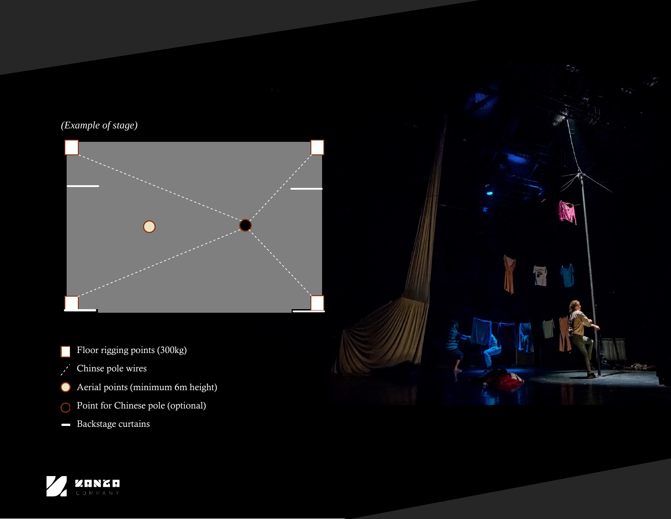*(Example of stage)*



Floor rigging points (300kg)

- Chinse pole wires  $\frac{\partial}{\partial t}$
- Aerial points (minimum 6m height)  $\bullet$
- Point for Chinese pole (optional)
- Backstage curtains